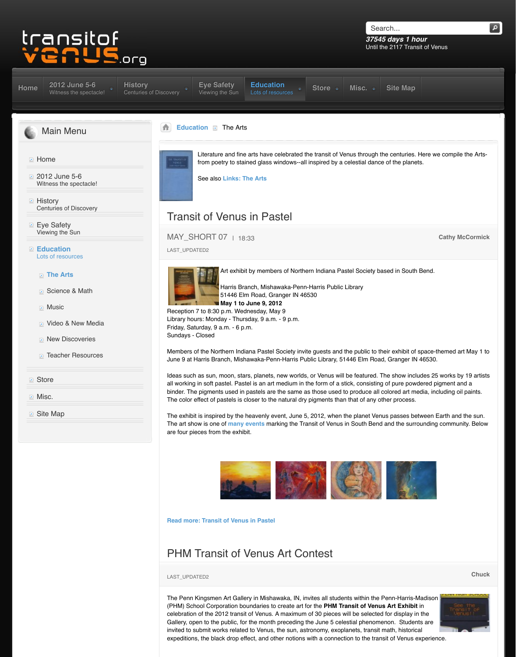### **The Arts**

- Science & Math
- **Music**
- **D** Video & New Media
- **New Discoveries**
- **[Teacher Resources](http://www.transitofvenus.org/june2012)**

## **Store**

**Misc.** 

**■** [Site Map](http://www.transitofvenus.org/)



Art exhibit by members of Northe

Harris Branch, Mishawaka-Penn-51446 Elm Road, Granger IN 46 **May 1 to June 9, 2012**

Reception 7 to 8:30 p.m. Wednesday, May 9 Library hours: Monday - Thursday, 9 a.m. - 9 p.m. Friday, Saturday, 9 a.m. - 6 p.m. Sundays - Closed

[Members](http://www.transitofvenus.org/history) [of the Northern Ind](http://www.transitofvenus.org/june2012/eye-safety)[iana Pastel Society invi](http://www.transitofvenus.org/education)t June 9 at Harris Branch, Mishawaka-Penn-Harris Pu

Ideas such as sun, moon, stars, planets, new worlds, [al](http://www.transitofvenus.org/)[l working in soft](http://www.transitofvenus.org/education) pastel. Pastel is an art medium in t binder. The pigments used in pastels are the same a The color effect of pastels is closer to the natural dry

The exhibit is inspired by the heavenly event, June 5 The art show is one of **many events** marking the Transit of Venus in South Bend and the surrounding community. Below are four pieces from [the exhibit.](http://www.transitofvenus.org/education/the-arts/157-links-arts)



#### **Read more: Transit of Venus in Pastel**

# PHM Transit of Venus Art Co

**Chuck** LAST\_UPDATED2

The Penn Kingsmen Art Gallery in Mishawaka, IN, in (PHM) School Corporation boundaries to create art for celebration of the 2012 transit of Venus. A maximum Gallery, open to the public, for the month preceding the June 5 celestial phenomenon. Students area invited to submit works related to Venus, the sun, ast expeditions, the black drop effect, and other notions we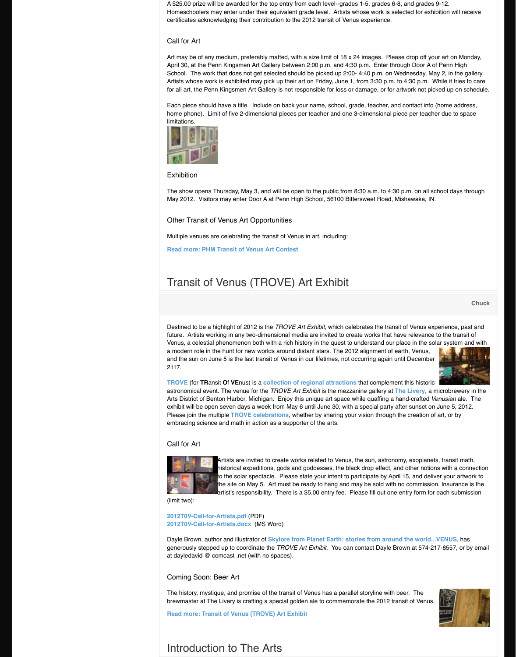# Transit of Venus (TROVE) Art

Destined to be a highlight of 2012 is the *TROVE Art* and the transitional celebrates the transit of Venus experience, part and Venus experience. future. Artists working in any two-dimensional media Venus, a celestial phenomenon both with a rich histo a modern role in the hunt for new worlds around distant alignment stars. The 2012 alignment of earth, and the 20 and the sun on June 5 is the last transit of Venus in c 2117.

**TROVE** (for **TRansit Of VE**nus) is a **collection of regional attractions** astronomical event. The venue for the *TROVE Art Examelenine at mexical* events. Arts District of Benton Harbor, Michigan. Enjoy this unit exhibit will be open seven days a week from May 6 until June 30, and a special party and a set on  $M$ Please join the multiple **TROVE celebrations**, wheth embracing science and math in action as a supporter

# Call for Art



Artists are invited to create works historical expeditions, gods and go to the solar spectacle. Please state the site on May 5. Art must be ready lartist's responsibility. There is a \$

(limit two):

**2012T0V-Call-for-Artists.pdf** (PDF) **2012T0V-Call-for-Artists.docx** (MS Word)

Dayle Brown, author and illustrator of **Skylore from** I generously stepped up to coordinate the *TROVE Art* at dayledavid @ comcast .net (with no spaces).

Coming Soon: Beer Art

The history, mystique, and promise of the transit of V brewmaster at The Livery is crafting a special golden

**Read more: Transit of Venus (TROVE) Art Exhibit**

# [Intro](http://www.transitofvenus.org/trove)duction to The [Arts](http://www.transitofvenus.org/trove)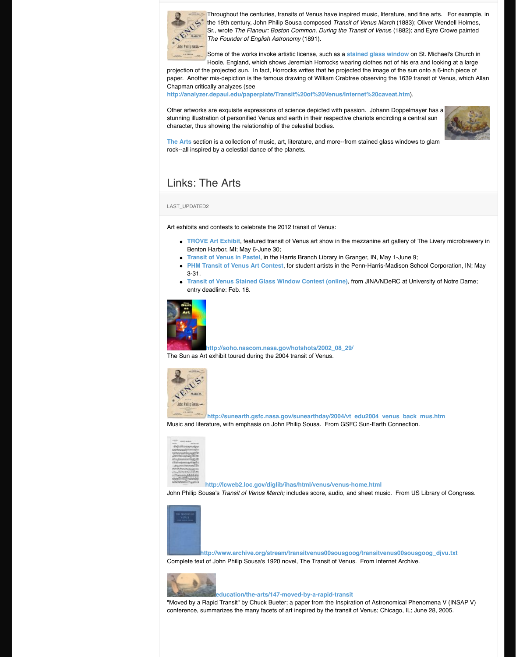- **Transit of Venus in Pastel**, in the Harris Branch Library in Granger, IN, May 1-June 9;
- **PHM Transit of Venus Art Contest, for student artists in the Penn-Harris** 3-31.
- **Transit of Venus Stained Glass Window Contest (online)** entry deadline: Feb. 18.



### http://soho.nascom.nasa.gov/hotsh

The Sun as Art exhibit toured during the 2004 transit



### http://sunearth.gsfc.nasa.gov/sune

Music and literature, with emphasis on John Philip So



#### http://lcweb2.loc.gov/diglib/ihas/htm

John Philip Sousa's *Transit of Venus March;* includes



Lhttp://www.archive.org/stream/transitv Complete text of John Philip Sousa's 1920 novel, The



# **education/the-arts/147-moved-by**

"Moved by a Rapid Transit" by Chuck Bueter; a pape conference, summarizes the many facets of art inspir